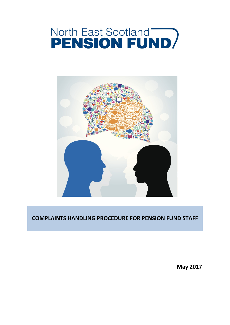# **North East Scotland<br>PENSION FUND**



# **COMPLAINTS HANDLING PROCEDURE FOR PENSION FUND STAFF**

**May 2017**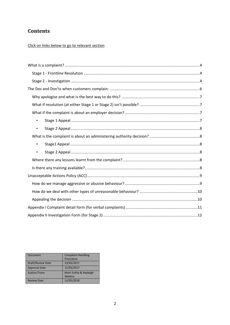# **Contents**

# Click on links below to go to relevant section

| $\bullet$ |
|-----------|
| $\bullet$ |
|           |
| $\bullet$ |
| $\bullet$ |
|           |
|           |
|           |
|           |
|           |
|           |
|           |
|           |

| <b>Document</b>      | <b>Complaint Handling</b> |
|----------------------|---------------------------|
|                      | Procedure                 |
|                      |                           |
| Draft/Review Date    | 23/03/2017                |
| <b>Approval Date</b> | 12/05/2017                |
| Author/Team          | Mairi Suttie & Hayleigh   |
|                      | Weldon                    |
| <b>Review Date</b>   | 12/05/2018                |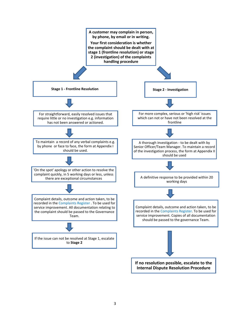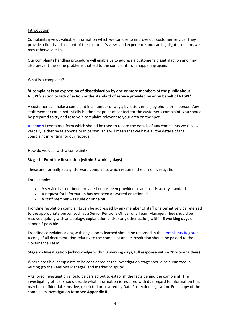#### Introduction

<span id="page-3-3"></span>Complaints give us valuable information which we can use to improve our customer service. They provide a first-hand account of the customer's views and experience and can highlight problems we may otherwise miss.

Our complaints handling procedure will enable us to address a customer's dissatisfaction and may also prevent the same problems that led to the complaint from happening again.

#### <span id="page-3-0"></span>What is a [complaint?](#page-3-3)

## **'A complaint is an expression of dissatisfaction by one or more members of the public about NESPF's action or lack of action or the standard of service provided by or on behalf of NESPF'**

A customer can make a complaint in a number of ways; by letter, email, by phone or in person. Any staff member could potentially be the first point of contact for the customer's complaint. You should be prepared to try and resolve a complaint relevant to your area on the spot.

<span id="page-3-4"></span>[Appendix](#page-10-0) I contains a form which should be used to record the details of any complaints we receive verbally, either by telephone or in person. This will mean that we have all the details of the complaint in writing for our records.

#### How do we deal with a [complaint?](#page-3-4)

#### <span id="page-3-1"></span>**Stage 1 - Frontline Resolution (within 5 working days)**

These are normally straightforward complaints which require little or no investigation.

For example:

- A service has not been provided or has been provided to an unsatisfactory standard
- A request for information has not been answered or actioned
- A staff member was rude or unhelpful

Frontline resolution complaints can be addressed by any member of staff or alternatively be referred to the appropriate person such as a Senior Pensions Officer or a Team Manager. They should be resolved quickly with an apology, explanation and/or any other action, **within 5 working days** or sooner if possible.

Frontline complaints along with any lessons learned should be recorded in the [Complaints](Complaint%2520Register.xlsx) Register. A copy of all documentation relating to the complaint and its resolution should be passed to the Governance Team.

#### <span id="page-3-2"></span>**Stage 2 - Investigation (acknowledge within 3 working days, full response within 20 working days)**

Where possible, complaints to be considered at the investigation stage should be submitted in writing (to the Pensions Manager) and marked 'dispute'.

A tailored investigation should be carried out to establish the facts behind the complaint. The investigating officer should decide what information is required with due regard to information that may be confidential, sensitive, restricted or covered by Data Protection legislation. For a copy of the complaints investigation form see **Appendix II**.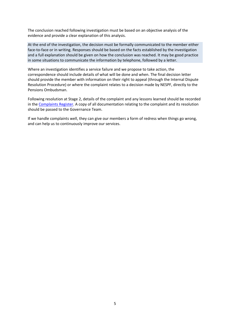The conclusion reached following investigation must be based on an objective analysis of the evidence and provide a clear explanation of this analysis.

At the end of the investigation, the decision must be formally communicated to the member either face-to-face or in writing. Responses should be based on the facts established by the investigation and a full explanation should be given on how the conclusion was reached. It may be good practice in some situations to communicate the information by telephone, followed by a letter.

Where an investigation identifies a service failure and we propose to take action, the correspondence should include details of what will be done and when. The final decision letter should provide the member with information on their right to appeal (through the Internal Dispute Resolution Procedure) or where the complaint relates to a decision made by NESPF, directly to the Pensions Ombudsman.

Following resolution at Stage 2, details of the complaint and any lessons learned should be recorded in the [Complaints](Complaint%2520Register.xlsx) Register. A copy of all documentation relating to the complaint and its resolution should be passed to the Governance Team.

<span id="page-4-0"></span>If we handle complaints well, they can give our members a form of redress when things go wrong, and can help us to continuously improve our services.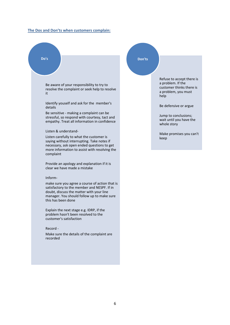#### <span id="page-5-0"></span>**The Dos and Don'ts when [customers](#page-4-0) complain:**

**Do's**

Be aware of your responsibility to try to resolve the complaint or seek help to resolve it

Identify youself and ask for the member's details

Be sensitive - making a complaint can be stressful, so respond with courtesy, tact and empathy. Treat all information in confidence

#### Listen & understand-

Listen carefully to what the customer is saying without interrupting. Take notes if necessary, ask open ended questions to get more information to assist with resolving the complaint

Provide an apology and explanation if it is clear we have made a mistake

#### Inform-

make sure you agree a course of action that is satisfactory to the member and NESPF. If in doubt, discuss the matter with your line manager. You should follow up to make sure this has been done

Explain the next stage e.g. IDRP, if the problem hasn't been resolved to the customer's satisfaction

#### Record -

<span id="page-5-1"></span>Make sure the details of the complaint are recorded

#### **Don'ts**

Refuse to accept there is a problem. If the customer thinks there is a problem, you must help

Be defensive or argue

Jump to conclusions; wait until you have the whole story

Make promises you can't keep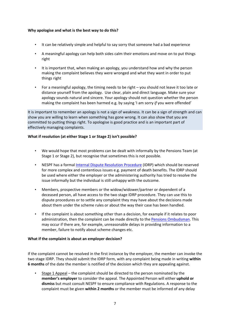## <span id="page-6-0"></span>**Why [apologise](#page-5-1) and what is the best way to do this?**

- It can be relatively simple and helpful to say sorry that someone had a bad experience
- A meaningful apology can help both sides calm their emotions and move on to put things right
- It is important that, when making an apology, you understand how and why the person making the complaint believes they were wronged and what they want in order to put things right
- For a meaningful apology, the timing needs to be right you should not leave it too late or distance yourself from the apology. Use clear, plain and direct language. Make sure your apology sounds natural and sincere. Your apology should not question whether the person making the complaint has been harmed e.g. by saying 'I am sorry *if* you were offended'

It is important to remember an apology is not a sign of weakness. It can be a sign of strength and can show you are willing to learn when something has gone wrong. It can also show that you are committed to putting things right. To apologise is good practice and is an important part of effectively managing complaints.

### <span id="page-6-1"></span>**What if [resolution](#page-6-4) (at either Stage 1 or Stage 2) isn't possible?**

- <span id="page-6-4"></span>• We would hope that most problems can be dealt with informally by the Pensions Team (at Stage 1 or Stage 2), but recognise that sometimes this is not possible.
- NESPF has a formal Internal Dispute [Resolution](file://acc.gov.uk/data/CorpGov/Finance/Group/SUP_DAT/Communications/Documents/LGPS%20Guides/2016%20Guides/IDRP%20Guide.pdf) Procedure (IDRP) which should be reserved for more complex and contentious issues e.g. payment of death benefits. The IDRP should be used where either the employer or the administering authority has tried to resolve the issue informally but the individual is still unhappy with the outcome.
- Members, prospective members or the widow/widower/partner or dependent of a deceased person, all have access to the two stage IDRP procedure. They can use this to dispute procedures or to settle any complaint they may have about the decisions made about them under the scheme rules or about the way their case has been handled.
- If the complaint is about something other than a decision, for example if it relates to poor administration, then the complaint can be made directly to the Pensions [Ombudsman](https://www.pensions-ombudsman.org.uk/). This may occur if there are, for example, unreasonable delays in providing information to a member, failure to notify about scheme changes etc.

#### <span id="page-6-2"></span>**What if the complaint is about an employer decision?**

If the complaint cannot be resolved in the first instance by the employer, the member can invoke the two stage IDRP. They should submit the IDRP form, with any complaint being made in writing **within 6 months** of the date the member is notified of the decision which they are appealing against.

<span id="page-6-3"></span>• Stage 1 Appeal – the complaint should be directed to the person nominated by the **member's employer** to consider the appeal. The Appointed Person will either **uphold or dismiss** but must consult NESPF to ensure compliance with Regulations. A response to the complaint must be given **within 2 months** or the member must be informed of any delay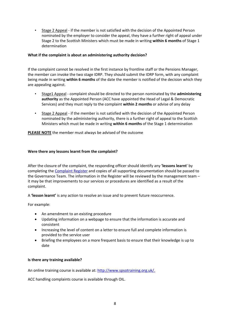<span id="page-7-0"></span>• Stage 2 Appeal - if the member is not satisfied with the decision of the Appointed Person nominated by the employer to consider the appeal, they have a further right of appeal under Stage 2 to the Scottish Ministers which must be made in writing **within 6 months** of Stage 1 determination

## <span id="page-7-1"></span>**What if the complaint is about an administering authority decision?**

If the complaint cannot be resolved in the first instance by frontline staff or the Pensions Manager, the member can invoke the two stage IDRP. They should submit the IDRP form, with any complaint being made in writing **within 6 months** of the date the member is notified of the decision which they are appealing against.

- <span id="page-7-2"></span>• Stage1 Appeal - complaint should be directed to the person nominated by the **administering authority** as the Appointed Person (ACC have appointed the Head of Legal & Democratic Services) and they must reply to the complaint **within 2 months** or advise of any delay
- <span id="page-7-3"></span>• Stage 2 Appeal - if the member is not satisfied with the decision of the Appointed Person nominated by the administering authority, there is a further right of appeal to the Scottish Ministers which must be made in writing **within 6 months** of the Stage 1 determination

<span id="page-7-6"></span>**PLEASE NOTE** the member must always be advised of the outcome

### <span id="page-7-4"></span>**[Were](#page-7-6) there any lessons learnt from the [complaint?](#page-7-6)**

After the closure of the complaint, the responding officer should identify any **'lessons learnt**' by completing the [Complaint](file://acc.gov.uk/data/CorpGov/Finance/Group/SUP_DAT/Governance/Governance/Disputes/Complaint%20Register.xlsx) Register and copies of all supporting documentation should be passed to the Governance Team. The information in the Register will be reviewed by the management team – it may be that improvements to our services or procedures are identified as a result of the complaint.

A **'lesson learnt'** is any action to resolve an issue and to prevent future reoccurrence.

For example:

- An amendment to an existing procedure
- Updating information on a webpage to ensure that the information is accurate and consistent
- Increasing the level of content on a letter to ensure full and complete information is provided to the service user
- Briefing the employees on a more frequent basis to ensure that their knowledge is up to date

#### <span id="page-7-5"></span>**Is there any training [available?](#page-7-5)**

An online training course is available at: <http://www.spsotraining.org.uk/>.

ACC handling complaints course is available through OIL.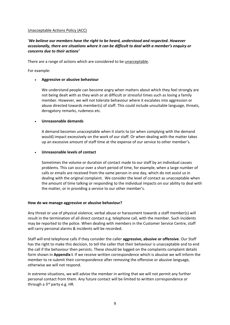#### <span id="page-8-0"></span>[Unacceptable](#page-8-0) Actions Policy (ACC)

## '*We believe our members have the right to be heard, understood and respected. However occasionally, there are situations where it can be difficult to deal with a member's enquiry or concerns due to their actions'*

There are a range of actions which are considered to be unacceptable.

For example:

#### **Aggressive or abusive behaviour**

We understand people can become angry when matters about which they feel strongly are not being dealt with as they wish or at difficult or stressful times such as losing a family member. However, we will not tolerate behaviour where it escalates into aggression or abuse directed towards member(s) of staff. This could include unsuitable language, threats, derogatory remarks, rudeness etc.

#### **Unreasonable demands**

A demand becomes unacceptable when it starts to (or when complying with the demand would) impact excessively on the work of our staff. Or when dealing with the matter takes up an excessive amount of staff time at the expense of our service to other member's.

#### **Unreasonable levels of contact**

Sometimes the volume or duration of contact made to our staff by an individual causes problems. This can occur over a short period of time, for example, when a large number of calls or emails are received from the same person in one day, which do not assist us in dealing with the original complaint. We consider the level of contact as unacceptable when the amount of time talking or responding to the individual impacts on our ability to deal with the matter, or in providing a service to our other member's.

#### <span id="page-8-1"></span>**How do we manage aggressive or abusive [behaviour?](#page-8-1)**

Any threat or use of physical violence, verbal abuse or harassment towards a staff member(s) will result in the termination of all direct contact e.g. telephone call, with the member. Such incidents may be reported to the police. When dealing with members in the Customer Service Centre, staff will carry personal alarms & incidents will be recorded.

Staff will end telephone calls if they consider the caller **aggressive, abusive or offensive**. Our Staff has the right to make this decision, to tell the caller that their behaviour is unacceptable and to end the call if the behaviour then persists. These should be logged on the complaints complaint details form shown in **Appendix I**. If we receive written correspondence which is abusive we will inform the member to re-submit their correspondence after removing the offensive or abusive language, otherwise we will not respond.

In extreme situations, we will advise the member in writing that we will not permit any further personal contact from them. Any future contact will be limited to written correspondence or through a 3<sup>rd</sup> party e.g. HR.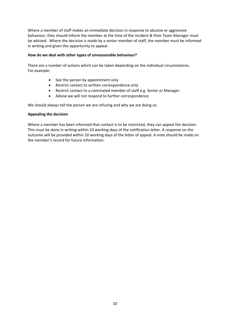Where a member of staff makes an immediate decision in response to abusive or aggressive behaviour, they should inform the member at the time of the incident & their Team Manager must be advised. Where the decision is made by a senior member of staff, the member must be informed in writing and given the opportunity to appeal.

#### <span id="page-9-0"></span>**How do we deal with other types of [unreasonable](#page-9-0) behaviour?**

There are a number of actions which can be taken depending on the individual circumstances. For example:

- $\bullet$  See the person by appointment only
- Restrict contact to written correspondence only
- Restrict contact to a nominated member of staff e.g. Senior or Manager.
- Advise we will not respond to further correspondence

We should always tell the person we are refusing and why we are doing so.

#### <span id="page-9-1"></span>**[Appealing](#page-9-1) the decision**

Where a member has been informed that contact is to be restricted, they can appeal the decision. This must be done in writing within 10 working days of the notification letter. A response on the outcome will be provided within 10 working days of the letter of appeal. A note should be made on the member's record for future information.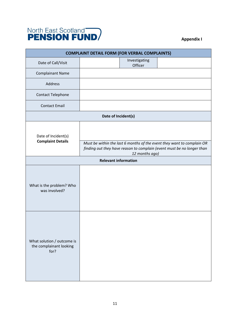

# <span id="page-10-0"></span>**Appendix I**

| <b>COMPLAINT DETAIL FORM (FOR VERBAL COMPLAINTS)</b>          |                                                                                                                                                                    |  |  |  |  |
|---------------------------------------------------------------|--------------------------------------------------------------------------------------------------------------------------------------------------------------------|--|--|--|--|
| Date of Call/Visit                                            | Investigating<br>Officer                                                                                                                                           |  |  |  |  |
| <b>Complainant Name</b>                                       |                                                                                                                                                                    |  |  |  |  |
| Address                                                       |                                                                                                                                                                    |  |  |  |  |
| Contact Telephone                                             |                                                                                                                                                                    |  |  |  |  |
| <b>Contact Email</b>                                          |                                                                                                                                                                    |  |  |  |  |
| Date of Incident(s)                                           |                                                                                                                                                                    |  |  |  |  |
| Date of Incident(s)<br><b>Complaint Details</b>               | Must be within the last 6 months of the event they want to complain OR<br>finding out they have reason to complain (event must be no longer than<br>12 months ago) |  |  |  |  |
|                                                               | <b>Relevant information</b>                                                                                                                                        |  |  |  |  |
| What is the problem? Who<br>was involved?                     |                                                                                                                                                                    |  |  |  |  |
| What solution / outcome is<br>the complainant looking<br>for? |                                                                                                                                                                    |  |  |  |  |